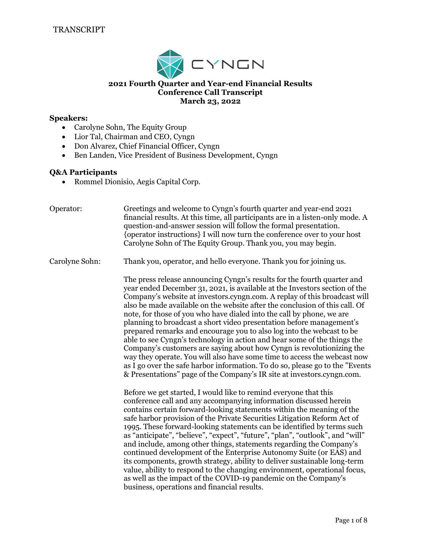

### **2021 Fourth Quarter and Year-end Financial Results Conference Call Transcript March 23, 2022**

#### **Speakers:**

- Carolyne Sohn, The Equity Group
- Lior Tal, Chairman and CEO, Cyngn
- Don Alvarez, Chief Financial Officer, Cyngn
- Ben Landen, Vice President of Business Development, Cyngn

#### **Q&A Participants**

• Rommel Dionisio, Aegis Capital Corp.

Operator: Greetings and welcome to Cyngn's fourth quarter and year-end 2021 financial results. At this time, all participants are in a listen-only mode. A question-and-answer session will follow the formal presentation. {operator instructions} I will now turn the conference over to your host Carolyne Sohn of The Equity Group. Thank you, you may begin.

Carolyne Sohn: Thank you, operator, and hello everyone. Thank you for joining us.

The press release announcing Cyngn's results for the fourth quarter and year ended December 31, 2021, is available at the Investors section of the Company's website at investors.cyngn.com. A replay of this broadcast will also be made available on the website after the conclusion of this call. Of note, for those of you who have dialed into the call by phone, we are planning to broadcast a short video presentation before management's prepared remarks and encourage you to also log into the webcast to be able to see Cyngn's technology in action and hear some of the things the Company's customers are saying about how Cyngn is revolutionizing the way they operate. You will also have some time to access the webcast now as I go over the safe harbor information. To do so, please go to the "Events & Presentations" page of the Company's IR site at investors.cyngn.com.

Before we get started, I would like to remind everyone that this conference call and any accompanying information discussed herein contains certain forward-looking statements within the meaning of the safe harbor provision of the Private Securities Litigation Reform Act of 1995. These forward-looking statements can be identified by terms such as "anticipate", "believe", "expect", "future", "plan", "outlook", and "will" and include, among other things, statements regarding the Company's continued development of the Enterprise Autonomy Suite (or EAS) and its components, growth strategy, ability to deliver sustainable long-term value, ability to respond to the changing environment, operational focus, as well as the impact of the COVID-19 pandemic on the Company's business, operations and financial results.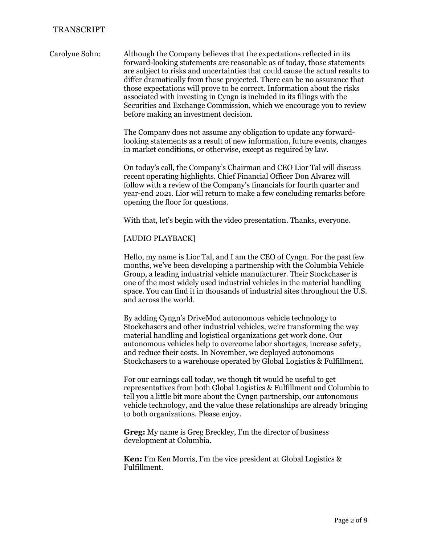Carolyne Sohn: Although the Company believes that the expectations reflected in its forward-looking statements are reasonable as of today, those statements are subject to risks and uncertainties that could cause the actual results to differ dramatically from those projected. There can be no assurance that those expectations will prove to be correct. Information about the risks associated with investing in Cyngn is included in its filings with the Securities and Exchange Commission, which we encourage you to review before making an investment decision.

> The Company does not assume any obligation to update any forwardlooking statements as a result of new information, future events, changes in market conditions, or otherwise, except as required by law.

> On today's call, the Company's Chairman and CEO Lior Tal will discuss recent operating highlights. Chief Financial Officer Don Alvarez will follow with a review of the Company's financials for fourth quarter and year-end 2021. Lior will return to make a few concluding remarks before opening the floor for questions.

With that, let's begin with the video presentation. Thanks, everyone.

### [AUDIO PLAYBACK]

Hello, my name is Lior Tal, and I am the CEO of Cyngn. For the past few months, we've been developing a partnership with the Columbia Vehicle Group, a leading industrial vehicle manufacturer. Their Stockchaser is one of the most widely used industrial vehicles in the material handling space. You can find it in thousands of industrial sites throughout the U.S. and across the world.

By adding Cyngn's DriveMod autonomous vehicle technology to Stockchasers and other industrial vehicles, we're transforming the way material handling and logistical organizations get work done. Our autonomous vehicles help to overcome labor shortages, increase safety, and reduce their costs. In November, we deployed autonomous Stockchasers to a warehouse operated by Global Logistics & Fulfillment.

For our earnings call today, we though tit would be useful to get representatives from both Global Logistics & Fulfillment and Columbia to tell you a little bit more about the Cyngn partnership, our autonomous vehicle technology, and the value these relationships are already bringing to both organizations. Please enjoy.

**Greg:** My name is Greg Breckley, I'm the director of business development at Columbia.

**Ken:** I'm Ken Morris, I'm the vice president at Global Logistics & Fulfillment.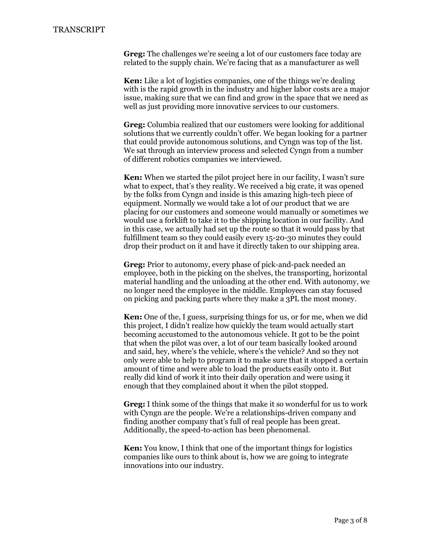**Greg:** The challenges we're seeing a lot of our customers face today are related to the supply chain. We're facing that as a manufacturer as well

**Ken:** Like a lot of logistics companies, one of the things we're dealing with is the rapid growth in the industry and higher labor costs are a major issue, making sure that we can find and grow in the space that we need as well as just providing more innovative services to our customers.

**Greg:** Columbia realized that our customers were looking for additional solutions that we currently couldn't offer. We began looking for a partner that could provide autonomous solutions, and Cyngn was top of the list. We sat through an interview process and selected Cyngn from a number of different robotics companies we interviewed.

**Ken:** When we started the pilot project here in our facility, I wasn't sure what to expect, that's they reality. We received a big crate, it was opened by the folks from Cyngn and inside is this amazing high-tech piece of equipment. Normally we would take a lot of our product that we are placing for our customers and someone would manually or sometimes we would use a forklift to take it to the shipping location in our facility. And in this case, we actually had set up the route so that it would pass by that fulfillment team so they could easily every 15-20-30 minutes they could drop their product on it and have it directly taken to our shipping area.

**Greg:** Prior to autonomy, every phase of pick-and-pack needed an employee, both in the picking on the shelves, the transporting, horizontal material handling and the unloading at the other end. With autonomy, we no longer need the employee in the middle. Employees can stay focused on picking and packing parts where they make a 3PL the most money.

**Ken:** One of the, I guess, surprising things for us, or for me, when we did this project, I didn't realize how quickly the team would actually start becoming accustomed to the autonomous vehicle. It got to be the point that when the pilot was over, a lot of our team basically looked around and said, hey, where's the vehicle, where's the vehicle? And so they not only were able to help to program it to make sure that it stopped a certain amount of time and were able to load the products easily onto it. But really did kind of work it into their daily operation and were using it enough that they complained about it when the pilot stopped.

**Greg:** I think some of the things that make it so wonderful for us to work with Cyngn are the people. We're a relationships-driven company and finding another company that's full of real people has been great. Additionally, the speed-to-action has been phenomenal.

**Ken:** You know, I think that one of the important things for logistics companies like ours to think about is, how we are going to integrate innovations into our industry.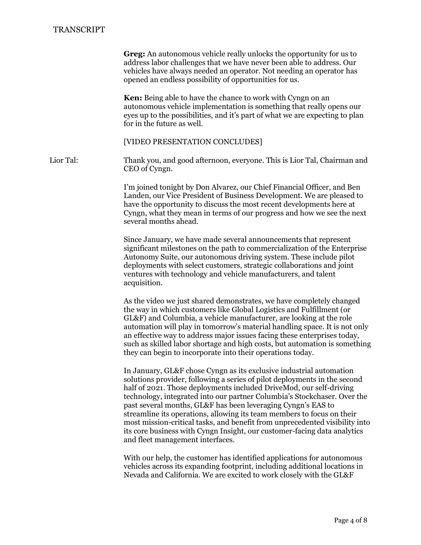|           | <b>Greg:</b> An autonomous vehicle really unlocks the opportunity for us to<br>address labor challenges that we have never been able to address. Our<br>vehicles have always needed an operator. Not needing an operator has<br>opened an endless possibility of opportunities for us.<br><b>Ken:</b> Being able to have the chance to work with Cyngn on an<br>autonomous vehicle implementation is something that really opens our<br>eyes up to the possibilities, and it's part of what we are expecting to plan<br>for in the future as well.                                                                                           |
|-----------|----------------------------------------------------------------------------------------------------------------------------------------------------------------------------------------------------------------------------------------------------------------------------------------------------------------------------------------------------------------------------------------------------------------------------------------------------------------------------------------------------------------------------------------------------------------------------------------------------------------------------------------------|
|           | [VIDEO PRESENTATION CONCLUDES]                                                                                                                                                                                                                                                                                                                                                                                                                                                                                                                                                                                                               |
| Lior Tal: | Thank you, and good afternoon, everyone. This is Lior Tal, Chairman and<br>CEO of Cyngn.                                                                                                                                                                                                                                                                                                                                                                                                                                                                                                                                                     |
|           | I'm joined tonight by Don Alvarez, our Chief Financial Officer, and Ben<br>Landen, our Vice President of Business Development. We are pleased to<br>have the opportunity to discuss the most recent developments here at<br>Cyngn, what they mean in terms of our progress and how we see the next<br>several months ahead.                                                                                                                                                                                                                                                                                                                  |
|           | Since January, we have made several announcements that represent<br>significant milestones on the path to commercialization of the Enterprise<br>Autonomy Suite, our autonomous driving system. These include pilot<br>deployments with select customers, strategic collaborations and joint<br>ventures with technology and vehicle manufacturers, and talent<br>acquisition.                                                                                                                                                                                                                                                               |
|           | As the video we just shared demonstrates, we have completely changed<br>the way in which customers like Global Logistics and Fulfillment (or<br>GL&F) and Columbia, a vehicle manufacturer, are looking at the role<br>automation will play in tomorrow's material handling space. It is not only<br>an effective way to address major issues facing these enterprises today,<br>such as skilled labor shortage and high costs, but automation is something<br>they can begin to incorporate into their operations today.                                                                                                                    |
|           | In January, GL&F chose Cyngn as its exclusive industrial automation<br>solutions provider, following a series of pilot deployments in the second<br>half of 2021. Those deployments included DriveMod, our self-driving<br>technology, integrated into our partner Columbia's Stockchaser. Over the<br>past several months, GL&F has been leveraging Cyngn's EAS to<br>streamline its operations, allowing its team members to focus on their<br>most mission-critical tasks, and benefit from unprecedented visibility into<br>its core business with Cyngn Insight, our customer-facing data analytics<br>and fleet management interfaces. |
|           | With our help, the customer has identified applications for autonomous<br>vehicles across its expanding footprint, including additional locations in<br>Nevada and California. We are excited to work closely with the GL&F                                                                                                                                                                                                                                                                                                                                                                                                                  |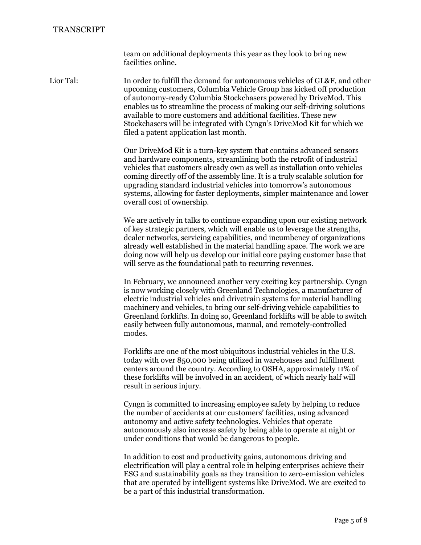team on additional deployments this year as they look to bring new facilities online.

Lior Tal: In order to fulfill the demand for autonomous vehicles of GL&F, and other upcoming customers, Columbia Vehicle Group has kicked off production of autonomy-ready Columbia Stockchasers powered by DriveMod. This enables us to streamline the process of making our self-driving solutions available to more customers and additional facilities. These new Stockchasers will be integrated with Cyngn's DriveMod Kit for which we filed a patent application last month.

> Our DriveMod Kit is a turn-key system that contains advanced sensors and hardware components, streamlining both the retrofit of industrial vehicles that customers already own as well as installation onto vehicles coming directly off of the assembly line. It is a truly scalable solution for upgrading standard industrial vehicles into tomorrow's autonomous systems, allowing for faster deployments, simpler maintenance and lower overall cost of ownership.

> We are actively in talks to continue expanding upon our existing network of key strategic partners, which will enable us to leverage the strengths, dealer networks, servicing capabilities, and incumbency of organizations already well established in the material handling space. The work we are doing now will help us develop our initial core paying customer base that will serve as the foundational path to recurring revenues.

> In February, we announced another very exciting key partnership. Cyngn is now working closely with Greenland Technologies, a manufacturer of electric industrial vehicles and drivetrain systems for material handling machinery and vehicles, to bring our self-driving vehicle capabilities to Greenland forklifts. In doing so, Greenland forklifts will be able to switch easily between fully autonomous, manual, and remotely-controlled modes.

Forklifts are one of the most ubiquitous industrial vehicles in the U.S. today with over 850,000 being utilized in warehouses and fulfillment centers around the country. According to OSHA, approximately 11% of these forklifts will be involved in an accident, of which nearly half will result in serious injury.

Cyngn is committed to increasing employee safety by helping to reduce the number of accidents at our customers' facilities, using advanced autonomy and active safety technologies. Vehicles that operate autonomously also increase safety by being able to operate at night or under conditions that would be dangerous to people.

In addition to cost and productivity gains, autonomous driving and electrification will play a central role in helping enterprises achieve their ESG and sustainability goals as they transition to zero-emission vehicles that are operated by intelligent systems like DriveMod. We are excited to be a part of this industrial transformation.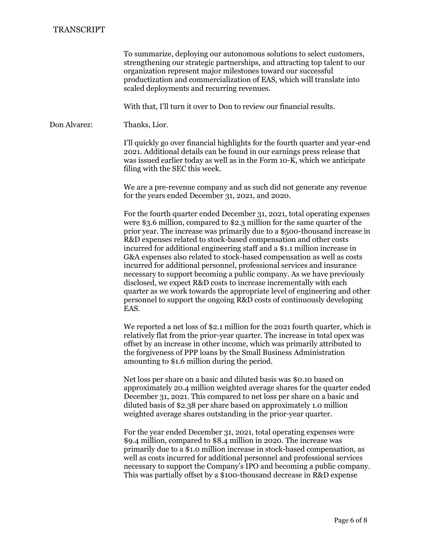To summarize, deploying our autonomous solutions to select customers, strengthening our strategic partnerships, and attracting top talent to our organization represent major milestones toward our successful productization and commercialization of EAS, which will translate into scaled deployments and recurring revenues.

With that, I'll turn it over to Don to review our financial results.

Don Alvarez: Thanks, Lior.

I'll quickly go over financial highlights for the fourth quarter and year-end 2021. Additional details can be found in our earnings press release that was issued earlier today as well as in the Form 10-K, which we anticipate filing with the SEC this week.

We are a pre-revenue company and as such did not generate any revenue for the years ended December 31, 2021, and 2020.

For the fourth quarter ended December 31, 2021, total operating expenses were \$3.6 million, compared to \$2.3 million for the same quarter of the prior year. The increase was primarily due to a \$500-thousand increase in R&D expenses related to stock-based compensation and other costs incurred for additional engineering staff and a \$1.1 million increase in G&A expenses also related to stock-based compensation as well as costs incurred for additional personnel, professional services and insurance necessary to support becoming a public company. As we have previously disclosed, we expect R&D costs to increase incrementally with each quarter as we work towards the appropriate level of engineering and other personnel to support the ongoing R&D costs of continuously developing EAS.

We reported a net loss of \$2.1 million for the 2021 fourth quarter, which is relatively flat from the prior-year quarter. The increase in total opex was offset by an increase in other income, which was primarily attributed to the forgiveness of PPP loans by the Small Business Administration amounting to \$1.6 million during the period.

Net loss per share on a basic and diluted basis was \$0.10 based on approximately 20.4 million weighted average shares for the quarter ended December 31, 2021. This compared to net loss per share on a basic and diluted basis of \$2.38 per share based on approximately 1.0 million weighted average shares outstanding in the prior-year quarter.

For the year ended December 31, 2021, total operating expenses were \$9.4 million, compared to \$8.4 million in 2020. The increase was primarily due to a \$1.0 million increase in stock-based compensation, as well as costs incurred for additional personnel and professional services necessary to support the Company's IPO and becoming a public company. This was partially offset by a \$100-thousand decrease in R&D expense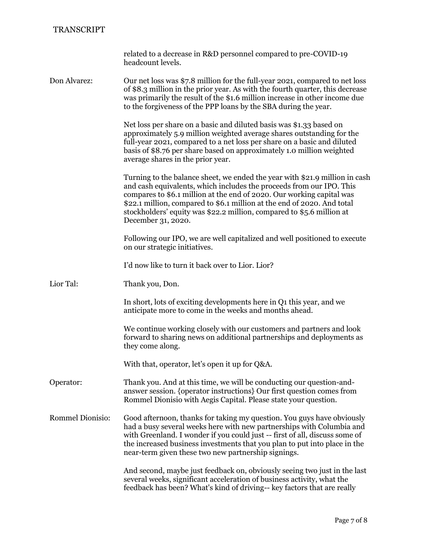|                         | related to a decrease in R&D personnel compared to pre-COVID-19<br>headcount levels.                                                                                                                                                                                                                                                                                                                   |
|-------------------------|--------------------------------------------------------------------------------------------------------------------------------------------------------------------------------------------------------------------------------------------------------------------------------------------------------------------------------------------------------------------------------------------------------|
| Don Alvarez:            | Our net loss was \$7.8 million for the full-year 2021, compared to net loss<br>of \$8.3 million in the prior year. As with the fourth quarter, this decrease<br>was primarily the result of the \$1.6 million increase in other income due<br>to the forgiveness of the PPP loans by the SBA during the year.                                                                                          |
|                         | Net loss per share on a basic and diluted basis was \$1.33 based on<br>approximately 5.9 million weighted average shares outstanding for the<br>full-year 2021, compared to a net loss per share on a basic and diluted<br>basis of \$8.76 per share based on approximately 1.0 million weighted<br>average shares in the prior year.                                                                  |
|                         | Turning to the balance sheet, we ended the year with \$21.9 million in cash<br>and cash equivalents, which includes the proceeds from our IPO. This<br>compares to \$6.1 million at the end of 2020. Our working capital was<br>\$22.1 million, compared to \$6.1 million at the end of 2020. And total<br>stockholders' equity was \$22.2 million, compared to \$5.6 million at<br>December 31, 2020. |
|                         | Following our IPO, we are well capitalized and well positioned to execute<br>on our strategic initiatives.                                                                                                                                                                                                                                                                                             |
|                         | I'd now like to turn it back over to Lior. Lior?                                                                                                                                                                                                                                                                                                                                                       |
| Lior Tal:               | Thank you, Don.                                                                                                                                                                                                                                                                                                                                                                                        |
|                         | In short, lots of exciting developments here in Q1 this year, and we<br>anticipate more to come in the weeks and months ahead.                                                                                                                                                                                                                                                                         |
|                         | We continue working closely with our customers and partners and look<br>forward to sharing news on additional partnerships and deployments as<br>they come along.                                                                                                                                                                                                                                      |
|                         | With that, operator, let's open it up for Q&A.                                                                                                                                                                                                                                                                                                                                                         |
| Operator:               | Thank you. And at this time, we will be conducting our question-and-<br>answer session. {operator instructions} Our first question comes from<br>Rommel Dionisio with Aegis Capital. Please state your question.                                                                                                                                                                                       |
| <b>Rommel Dionisio:</b> | Good afternoon, thanks for taking my question. You guys have obviously<br>had a busy several weeks here with new partnerships with Columbia and<br>with Greenland. I wonder if you could just -- first of all, discuss some of<br>the increased business investments that you plan to put into place in the<br>near-term given these two new partnership signings.                                     |
|                         | And second, maybe just feedback on, obviously seeing two just in the last<br>several weeks, significant acceleration of business activity, what the<br>feedback has been? What's kind of driving-- key factors that are really                                                                                                                                                                         |